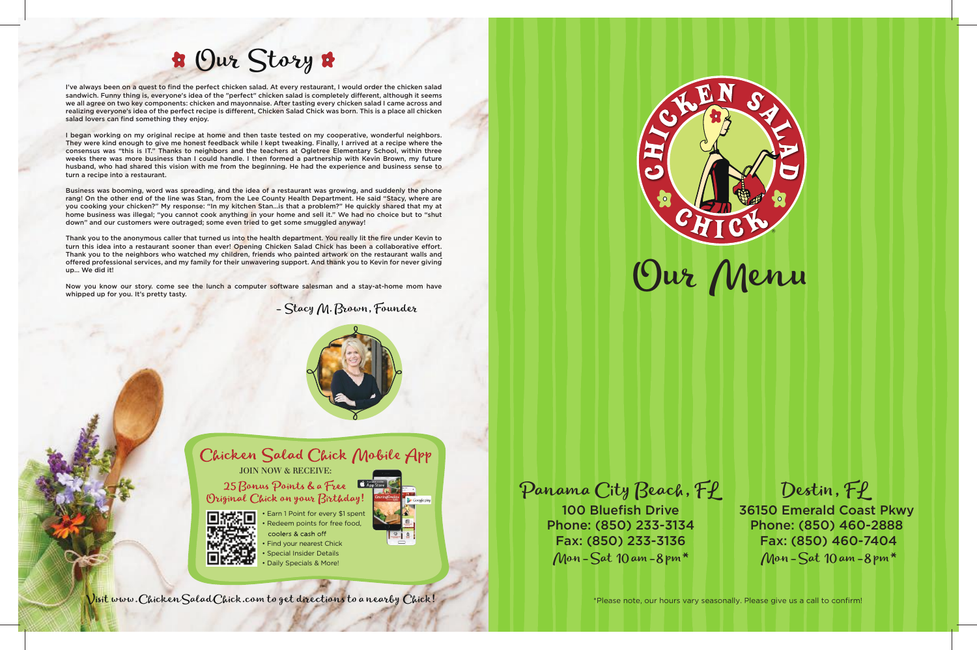# Our Story





- Stacy M. Brown, Founder





• Earn 1 Point for every \$1 spent • Redeem points for free food, coolers & cash off • Find your nearest Chick

- Special Insider Details
- Daily Specials & More!





I've always been on a quest to find the perfect chicken salad. At every restaurant, I would order the chicken salad sandwich. Funny thing is, everyone's idea of the "perfect" chicken salad is completely different, although it seems we all agree on two key components: chicken and mayonnaise. After tasting every chicken salad I came across and realizing everyone's idea of the perfect recipe is different, Chicken Salad Chick was born. This is a place all chicken salad lovers can find something they enjoy.

I began working on my original recipe at home and then taste tested on my cooperative, wonderful neighbors. They were kind enough to give me honest feedback while I kept tweaking. Finally, I arrived at a recipe where the consensus was "this is IT." Thanks to neighbors and the teachers at Ogletree Elementary School, within three weeks there was more business than I could handle. I then formed a partnership with Kevin Brown, my future husband, who had shared this vision with me from the beginning. He had the experience and business sense to turn a recipe into a restaurant.

Thank you to the anonymous caller that turned us into the health department. You really lit the fire under Kevin to turn this idea into a restaurant sooner than ever! Opening Chicken Salad Chick has been a collaborative effort. Thank you to the neighbors who watched my children, friends who painted artwork on the restaurant walls and offered professional services, and my family for their unwavering support. And thank you to Kevin for never giving up… We did it!

Now you know our story. come see the lunch a computer software salesman and a stay-at-home mom have whipped up for you. It's pretty tasty.

> 100 Bluefish Drive Fax: (850) 233-3136 Mon-Sat  $10$  am-8 pm\*

Phone: (850) 233-3134 Phone: (850) 460-2888 36150 Emerald Coast Pkwy Fax: (850) 460-7404 Mon-Sat 10 am -8 pm  $*$ 

Business was booming, word was spreading, and the idea of a restaurant was growing, and suddenly the phone rang! On the other end of the line was Stan, from the Lee County Health Department. He said "Stacy, where are you cooking your chicken?" My response: "In my kitchen Stan…is that a problem?" He quickly shared that my at home business was illegal; "you cannot cook anything in your home and sell it." We had no choice but to "shut down" and our customers were outraged; some even tried to get some smuggled anyway!